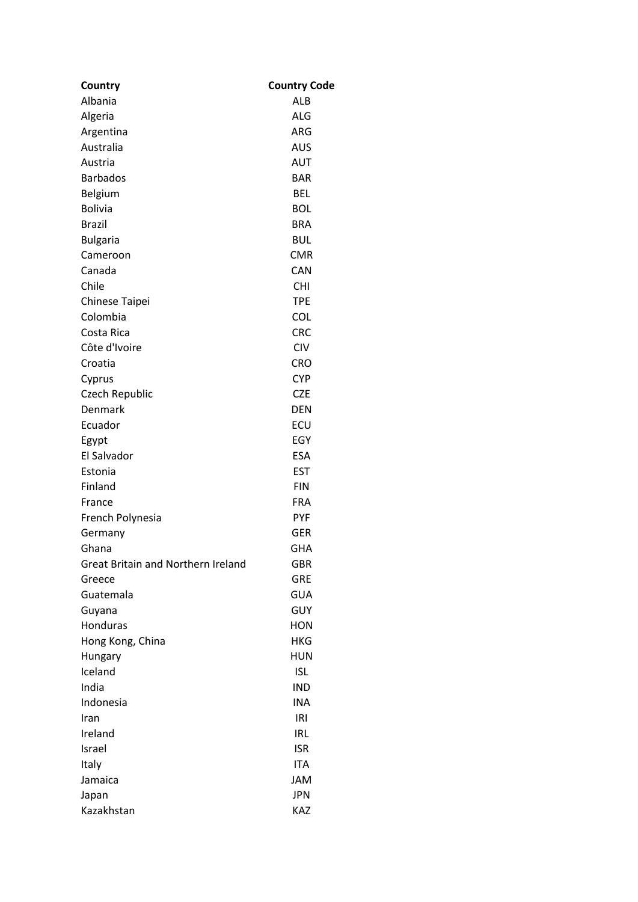| Country                                   | <b>Country Code</b> |
|-------------------------------------------|---------------------|
| Albania                                   | ALB                 |
| Algeria                                   | <b>ALG</b>          |
| Argentina                                 | ARG                 |
| Australia                                 | AUS                 |
| Austria                                   | <b>AUT</b>          |
| <b>Barbados</b>                           | <b>BAR</b>          |
| Belgium                                   | <b>BEL</b>          |
| <b>Bolivia</b>                            | <b>BOL</b>          |
| <b>Brazil</b>                             | <b>BRA</b>          |
| <b>Bulgaria</b>                           | <b>BUL</b>          |
| Cameroon                                  | <b>CMR</b>          |
| Canada                                    | <b>CAN</b>          |
| Chile                                     | <b>CHI</b>          |
| Chinese Taipei                            | <b>TPE</b>          |
| Colombia                                  | <b>COL</b>          |
| Costa Rica                                | <b>CRC</b>          |
| Côte d'Ivoire                             | <b>CIV</b>          |
| Croatia                                   | <b>CRO</b>          |
| Cyprus                                    | <b>CYP</b>          |
| Czech Republic                            | <b>CZE</b>          |
| Denmark                                   | <b>DEN</b>          |
| Ecuador                                   | ECU                 |
| Egypt                                     | EGY                 |
| El Salvador                               | <b>ESA</b>          |
| Estonia                                   | <b>EST</b>          |
| Finland                                   | <b>FIN</b>          |
|                                           | <b>FRA</b>          |
| France                                    | <b>PYF</b>          |
| French Polynesia                          | GER                 |
| Germany<br>Ghana                          | <b>GHA</b>          |
| <b>Great Britain and Northern Ireland</b> |                     |
|                                           | GBR<br><b>GRE</b>   |
| Greece                                    | <b>GUA</b>          |
| Guatemala                                 |                     |
| Guyana                                    | GUY                 |
| Honduras                                  | <b>HON</b>          |
| Hong Kong, China                          | <b>HKG</b>          |
| Hungary                                   | <b>HUN</b>          |
| Iceland                                   | <b>ISL</b>          |
| India                                     | <b>IND</b>          |
| Indonesia                                 | <b>INA</b>          |
| Iran                                      | IRI                 |
| Ireland                                   | <b>IRL</b>          |
| Israel                                    | <b>ISR</b>          |
| Italy                                     | ITA                 |
| Jamaica                                   | <b>JAM</b>          |
| Japan                                     | <b>JPN</b>          |
| Kazakhstan                                | KAZ                 |